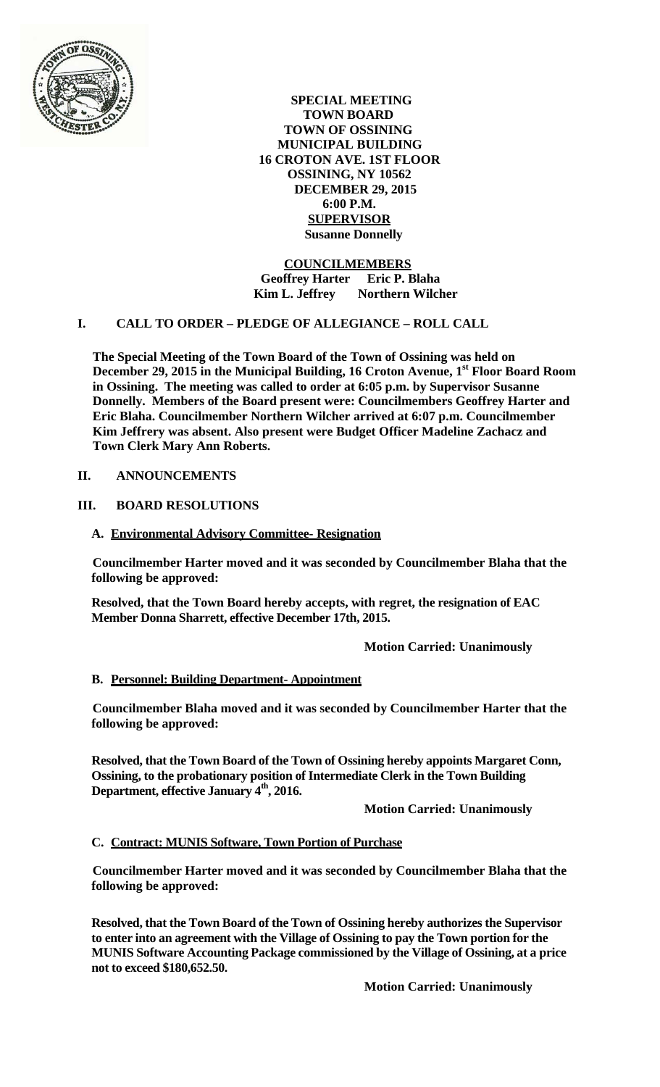

**SPECIAL MEETING TOWN BOARD TOWN OF OSSINING MUNICIPAL BUILDING 16 CROTON AVE. 1ST FLOOR OSSINING, NY 10562 DECEMBER 29, 2015 6:00 P.M. SUPERVISOR Susanne Donnelly**

**COUNCILMEMBERS Geoffrey Harter Eric P. Blaha Kim L. Jeffrey Northern Wilcher**

# **I. CALL TO ORDER – PLEDGE OF ALLEGIANCE – ROLL CALL**

**The Special Meeting of the Town Board of the Town of Ossining was held on**  December 29, 2015 in the Municipal Building, 16 Croton Avenue, 1<sup>st</sup> Floor Board Room **in Ossining. The meeting was called to order at 6:05 p.m. by Supervisor Susanne Donnelly. Members of the Board present were: Councilmembers Geoffrey Harter and Eric Blaha. Councilmember Northern Wilcher arrived at 6:07 p.m. Councilmember Kim Jeffrery was absent. Also present were Budget Officer Madeline Zachacz and Town Clerk Mary Ann Roberts.** 

#### **II. ANNOUNCEMENTS**

# **III. BOARD RESOLUTIONS**

#### **A. Environmental Advisory Committee- Resignation**

**Councilmember Harter moved and it was seconded by Councilmember Blaha that the following be approved:**

**Resolved, that the Town Board hereby accepts, with regret, the resignation of EAC Member Donna Sharrett, effective December 17th, 2015.** 

**Motion Carried: Unanimously** 

#### **B. Personnel: Building Department- Appointment**

**Councilmember Blaha moved and it was seconded by Councilmember Harter that the following be approved:**

**Resolved, that the Town Board of the Town of Ossining hereby appoints Margaret Conn, Ossining, to the probationary position of Intermediate Clerk in the Town Building**  Department, effective January 4<sup>th</sup>, 2016.

 **Motion Carried: Unanimously** 

#### **C. Contract: MUNIS Software, Town Portion of Purchase**

**Councilmember Harter moved and it was seconded by Councilmember Blaha that the following be approved:**

**Resolved, that the Town Board of the Town of Ossining hereby authorizes the Supervisor to enter into an agreement with the Village of Ossining to pay the Town portion for the MUNIS Software Accounting Package commissioned by the Village of Ossining, at a price not to exceed \$180,652.50.** 

 **Motion Carried: Unanimously**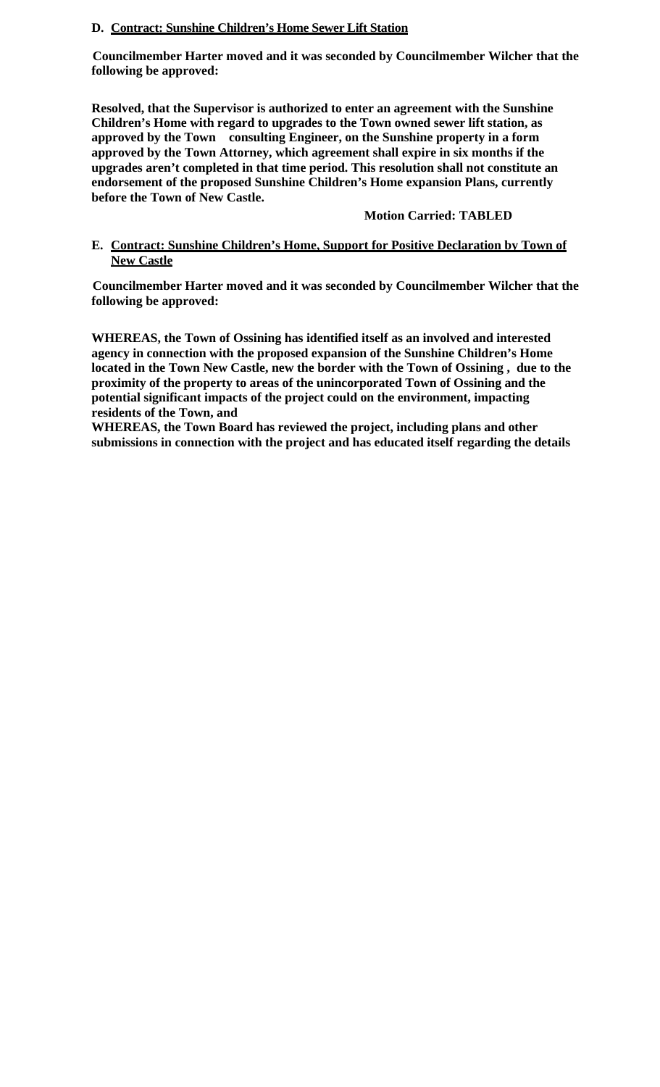## **D. Contract: Sunshine Children's Home Sewer Lift Station**

**Councilmember Harter moved and it was seconded by Councilmember Wilcher that the following be approved:**

**Resolved, that the Supervisor is authorized to enter an agreement with the Sunshine Children's Home with regard to upgrades to the Town owned sewer lift station, as approved by the Town consulting Engineer, on the Sunshine property in a form approved by the Town Attorney, which agreement shall expire in six months if the upgrades aren't completed in that time period. This resolution shall not constitute an endorsement of the proposed Sunshine Children's Home expansion Plans, currently before the Town of New Castle.** 

# **Motion Carried: TABLED**

# **E. Contract: Sunshine Children's Home, Support for Positive Declaration by Town of New Castle**

**Councilmember Harter moved and it was seconded by Councilmember Wilcher that the following be approved:**

**WHEREAS, the Town of Ossining has identified itself as an involved and interested agency in connection with the proposed expansion of the Sunshine Children's Home located in the Town New Castle, new the border with the Town of Ossining , due to the proximity of the property to areas of the unincorporated Town of Ossining and the potential significant impacts of the project could on the environment, impacting residents of the Town, and**

**WHEREAS, the Town Board has reviewed the project, including plans and other submissions in connection with the project and has educated itself regarding the details**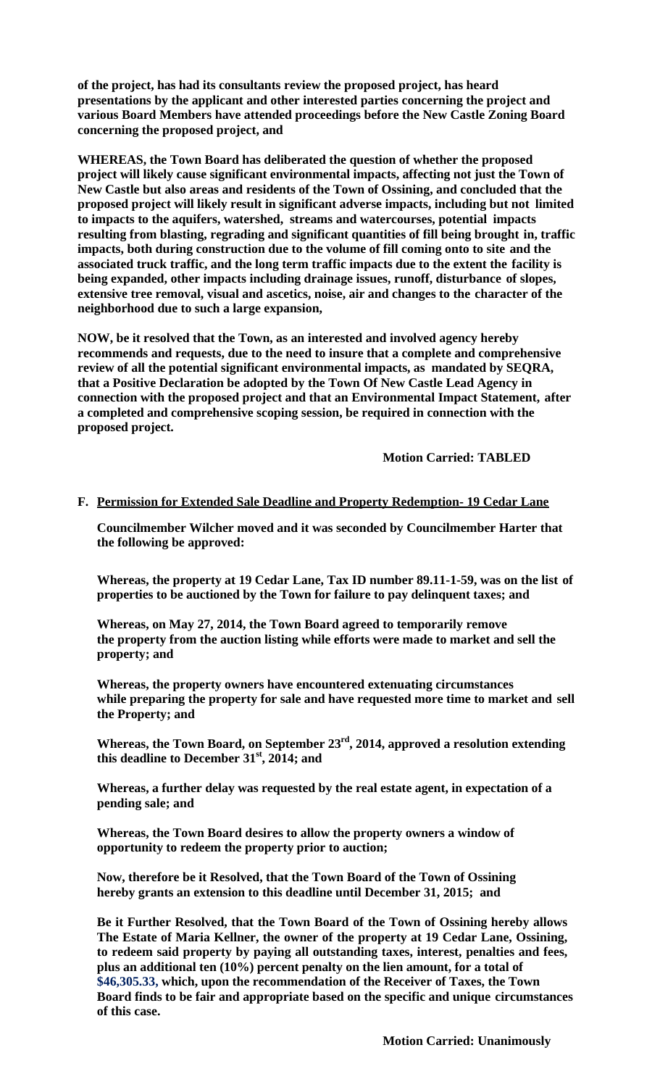**of the project, has had its consultants review the proposed project, has heard presentations by the applicant and other interested parties concerning the project and various Board Members have attended proceedings before the New Castle Zoning Board concerning the proposed project, and**

**WHEREAS, the Town Board has deliberated the question of whether the proposed project will likely cause significant environmental impacts, affecting not just the Town of New Castle but also areas and residents of the Town of Ossining, and concluded that the proposed project will likely result in significant adverse impacts, including but not limited to impacts to the aquifers, watershed, streams and watercourses, potential impacts resulting from blasting, regrading and significant quantities of fill being brought in, traffic impacts, both during construction due to the volume of fill coming onto to site and the associated truck traffic, and the long term traffic impacts due to the extent the facility is being expanded, other impacts including drainage issues, runoff, disturbance of slopes, extensive tree removal, visual and ascetics, noise, air and changes to the character of the neighborhood due to such a large expansion,**

**NOW, be it resolved that the Town, as an interested and involved agency hereby recommends and requests, due to the need to insure that a complete and comprehensive review of all the potential significant environmental impacts, as mandated by SEQRA, that a Positive Declaration be adopted by the Town Of New Castle Lead Agency in connection with the proposed project and that an Environmental Impact Statement, after a completed and comprehensive scoping session, be required in connection with the proposed project.** 

 **Motion Carried: TABLED**

#### **F. Permission for Extended Sale Deadline and Property Redemption- 19 Cedar Lane**

**Councilmember Wilcher moved and it was seconded by Councilmember Harter that the following be approved:**

**Whereas, the property at 19 Cedar Lane, Tax ID number 89.11-1-59, was on the list of properties to be auctioned by the Town for failure to pay delinquent taxes; and**

**Whereas, on May 27, 2014, the Town Board agreed to temporarily remove the property from the auction listing while efforts were made to market and sell the property; and**

**Whereas, the property owners have encountered extenuating circumstances while preparing the property for sale and have requested more time to market and sell the Property; and**

**Whereas, the Town Board, on September 23rd, 2014, approved a resolution extending this deadline to December 31st, 2014; and**

**Whereas, a further delay was requested by the real estate agent, in expectation of a pending sale; and**

**Whereas, the Town Board desires to allow the property owners a window of opportunity to redeem the property prior to auction;**

**Now, therefore be it Resolved, that the Town Board of the Town of Ossining hereby grants an extension to this deadline until December 31, 2015; and**

**Be it Further Resolved, that the Town Board of the Town of Ossining hereby allows The Estate of Maria Kellner, the owner of the property at 19 Cedar Lane, Ossining, to redeem said property by paying all outstanding taxes, interest, penalties and fees, plus an additional ten (10%) percent penalty on the lien amount, for a total of \$46,305.33, which, upon the recommendation of the Receiver of Taxes, the Town Board finds to be fair and appropriate based on the specific and unique circumstances of this case.**